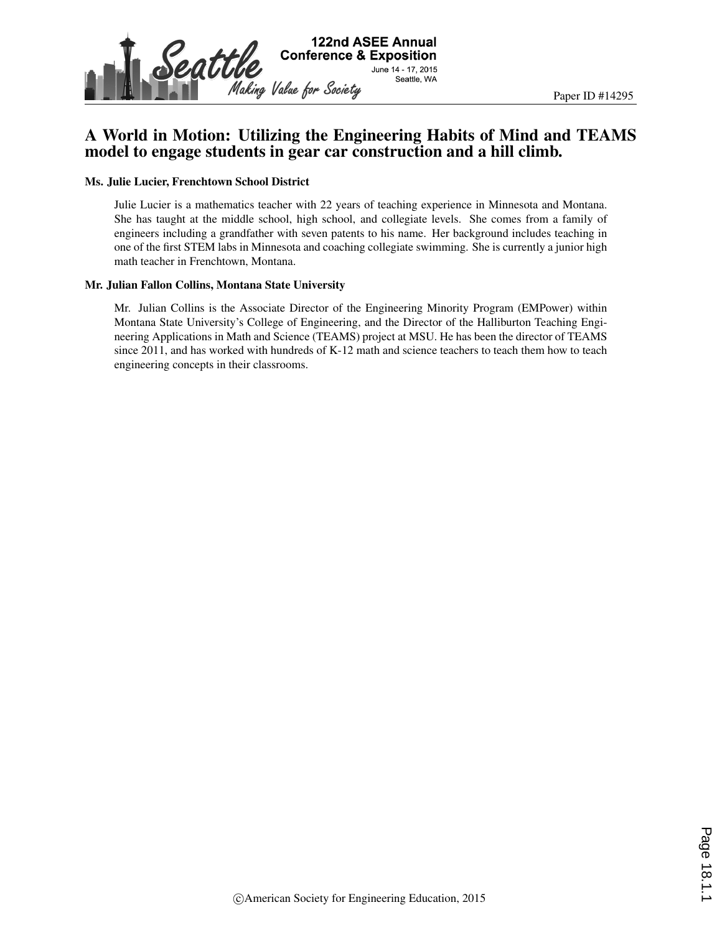

### A World in Motion: Utilizing the Engineering Habits of Mind and TEAMS model to engage students in gear car construction and a hill climb.

#### Ms. Julie Lucier, Frenchtown School District

Julie Lucier is a mathematics teacher with 22 years of teaching experience in Minnesota and Montana. She has taught at the middle school, high school, and collegiate levels. She comes from a family of engineers including a grandfather with seven patents to his name. Her background includes teaching in one of the first STEM labs in Minnesota and coaching collegiate swimming. She is currently a junior high math teacher in Frenchtown, Montana.

#### Mr. Julian Fallon Collins, Montana State University

Mr. Julian Collins is the Associate Director of the Engineering Minority Program (EMPower) within Montana State University's College of Engineering, and the Director of the Halliburton Teaching Engineering Applications in Math and Science (TEAMS) project at MSU. He has been the director of TEAMS since 2011, and has worked with hundreds of K-12 math and science teachers to teach them how to teach engineering concepts in their classrooms.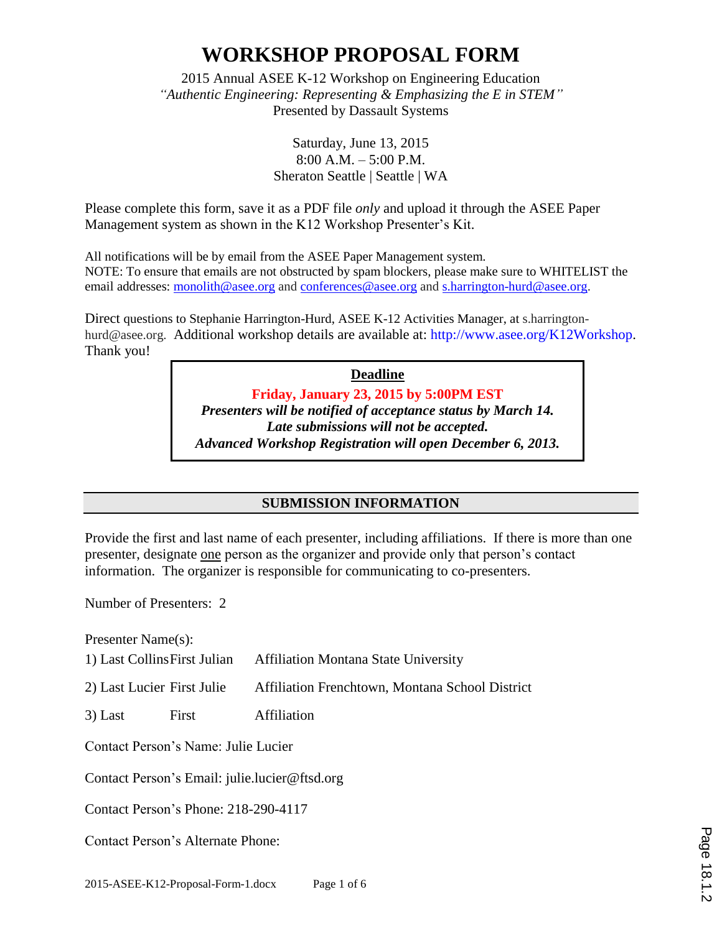2015 Annual ASEE K-12 Workshop on Engineering Education *"Authentic Engineering: Representing & Emphasizing the E in STEM"* Presented by Dassault Systems

> Saturday, June 13, 2015 8:00 A.M. – 5:00 P.M. Sheraton Seattle | Seattle | WA

Please complete this form, save it as a PDF file *only* and upload it through the ASEE Paper Management system as shown in the K12 Workshop Presenter's Kit.

All notifications will be by email from the ASEE Paper Management system. NOTE: To ensure that emails are not obstructed by spam blockers, please make sure to WHITELIST the email addresses: monolith@asee.org and conferences@asee.org and s.harrington-hurd@asee.org.

Direct questions to Stephanie Harrington-Hurd, ASEE K-12 Activities Manager, at s.harringtonhurd@asee.org. Additional workshop details are available at: http://www.asee.org/K12Workshop. Thank you!

> **Deadline Friday, January 23, 2015 by 5:00PM EST** *Presenters will be notified of acceptance status by March 14. Late submissions will not be accepted. Advanced Workshop Registration will open December 6, 2013.*

### **SUBMISSION INFORMATION**

Provide the first and last name of each presenter, including affiliations. If there is more than one presenter, designate one person as the organizer and provide only that person's contact information. The organizer is responsible for communicating to co-presenters.

Number of Presenters: 2

Presenter Name(s):

- 1) Last CollinsFirst Julian Affiliation Montana State University
- 2) Last Lucier First Julie Affiliation Frenchtown, Montana School District
- 3) Last First Affiliation

Contact Person's Name: Julie Lucier

Contact Person's Email: julie.lucier@ftsd.org

Contact Person's Phone: 218-290-4117

Contact Person's Alternate Phone: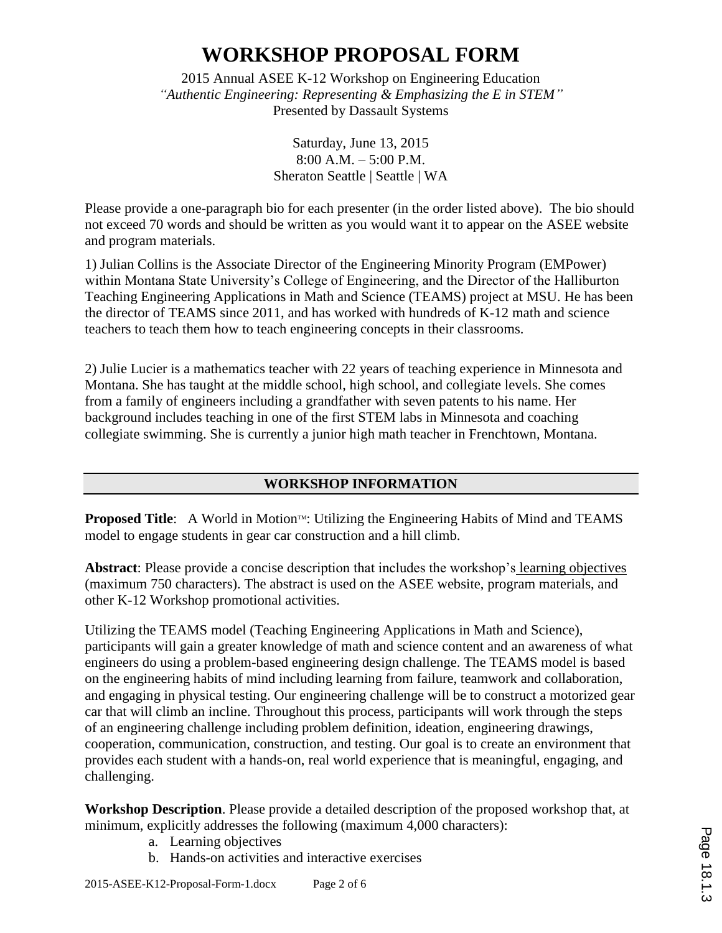2015 Annual ASEE K-12 Workshop on Engineering Education *"Authentic Engineering: Representing & Emphasizing the E in STEM"* Presented by Dassault Systems

> Saturday, June 13, 2015 8:00 A.M. – 5:00 P.M. Sheraton Seattle | Seattle | WA

Please provide a one-paragraph bio for each presenter (in the order listed above). The bio should not exceed 70 words and should be written as you would want it to appear on the ASEE website and program materials.

1) Julian Collins is the Associate Director of the Engineering Minority Program (EMPower) within Montana State University's College of Engineering, and the Director of the Halliburton Teaching Engineering Applications in Math and Science (TEAMS) project at MSU. He has been the director of TEAMS since 2011, and has worked with hundreds of K-12 math and science teachers to teach them how to teach engineering concepts in their classrooms.

2) Julie Lucier is a mathematics teacher with 22 years of teaching experience in Minnesota and Montana. She has taught at the middle school, high school, and collegiate levels. She comes from a family of engineers including a grandfather with seven patents to his name. Her background includes teaching in one of the first STEM labs in Minnesota and coaching collegiate swimming. She is currently a junior high math teacher in Frenchtown, Montana.

#### **WORKSHOP INFORMATION**

**Proposed Title:** A World in Motion™: Utilizing the Engineering Habits of Mind and TEAMS model to engage students in gear car construction and a hill climb.

**Abstract**: Please provide a concise description that includes the workshop's learning objectives (maximum 750 characters). The abstract is used on the ASEE website, program materials, and other K-12 Workshop promotional activities.

Utilizing the TEAMS model (Teaching Engineering Applications in Math and Science), participants will gain a greater knowledge of math and science content and an awareness of what engineers do using a problem-based engineering design challenge. The TEAMS model is based on the engineering habits of mind including learning from failure, teamwork and collaboration, and engaging in physical testing. Our engineering challenge will be to construct a motorized gear car that will climb an incline. Throughout this process, participants will work through the steps of an engineering challenge including problem definition, ideation, engineering drawings, cooperation, communication, construction, and testing. Our goal is to create an environment that provides each student with a hands-on, real world experience that is meaningful, engaging, and challenging.

**Workshop Description**. Please provide a detailed description of the proposed workshop that, at minimum, explicitly addresses the following (maximum 4,000 characters):

- a. Learning objectives
- b. Hands-on activities and interactive exercises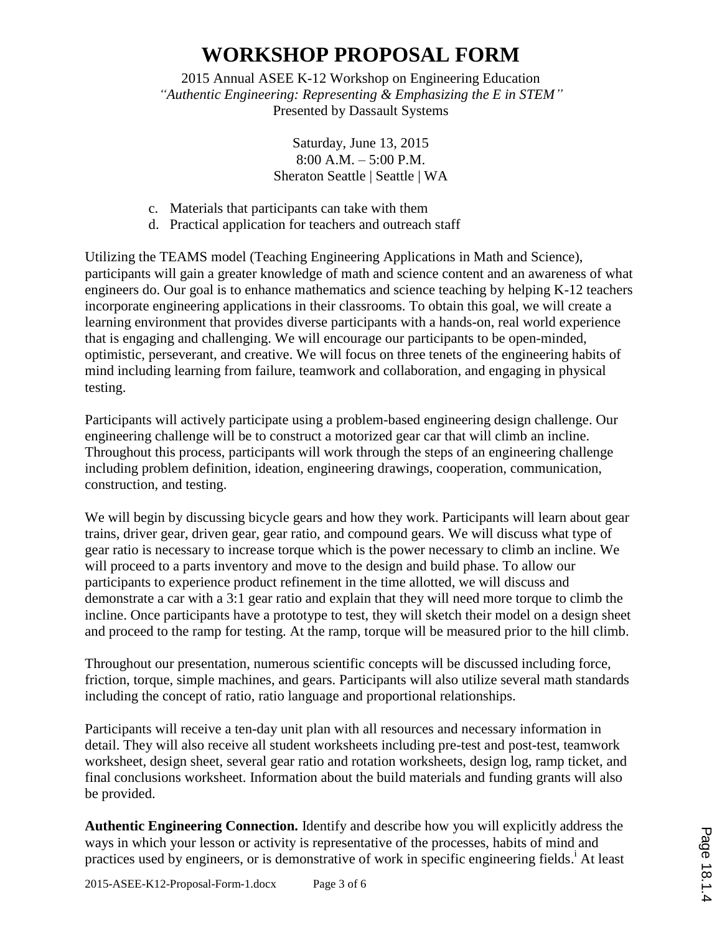2015 Annual ASEE K-12 Workshop on Engineering Education *"Authentic Engineering: Representing & Emphasizing the E in STEM"* Presented by Dassault Systems

> Saturday, June 13, 2015 8:00 A.M. – 5:00 P.M. Sheraton Seattle | Seattle | WA

- c. Materials that participants can take with them
- d. Practical application for teachers and outreach staff

Utilizing the TEAMS model (Teaching Engineering Applications in Math and Science), participants will gain a greater knowledge of math and science content and an awareness of what engineers do. Our goal is to enhance mathematics and science teaching by helping K-12 teachers incorporate engineering applications in their classrooms. To obtain this goal, we will create a learning environment that provides diverse participants with a hands-on, real world experience that is engaging and challenging. We will encourage our participants to be open-minded, optimistic, perseverant, and creative. We will focus on three tenets of the engineering habits of mind including learning from failure, teamwork and collaboration, and engaging in physical testing.

Participants will actively participate using a problem-based engineering design challenge. Our engineering challenge will be to construct a motorized gear car that will climb an incline. Throughout this process, participants will work through the steps of an engineering challenge including problem definition, ideation, engineering drawings, cooperation, communication, construction, and testing.

We will begin by discussing bicycle gears and how they work. Participants will learn about gear trains, driver gear, driven gear, gear ratio, and compound gears. We will discuss what type of gear ratio is necessary to increase torque which is the power necessary to climb an incline. We will proceed to a parts inventory and move to the design and build phase. To allow our participants to experience product refinement in the time allotted, we will discuss and demonstrate a car with a 3:1 gear ratio and explain that they will need more torque to climb the incline. Once participants have a prototype to test, they will sketch their model on a design sheet and proceed to the ramp for testing. At the ramp, torque will be measured prior to the hill climb.

Throughout our presentation, numerous scientific concepts will be discussed including force, friction, torque, simple machines, and gears. Participants will also utilize several math standards including the concept of ratio, ratio language and proportional relationships.

Participants will receive a ten-day unit plan with all resources and necessary information in detail. They will also receive all student worksheets including pre-test and post-test, teamwork worksheet, design sheet, several gear ratio and rotation worksheets, design log, ramp ticket, and final conclusions worksheet. Information about the build materials and funding grants will also be provided.

**Authentic Engineering Connection.** Identify and describe how you will explicitly address the ways in which your lesson or activity is representative of the processes, habits of mind and practices used by engineers, or is demonstrative of work in specific engineering fields.<sup>i</sup> At least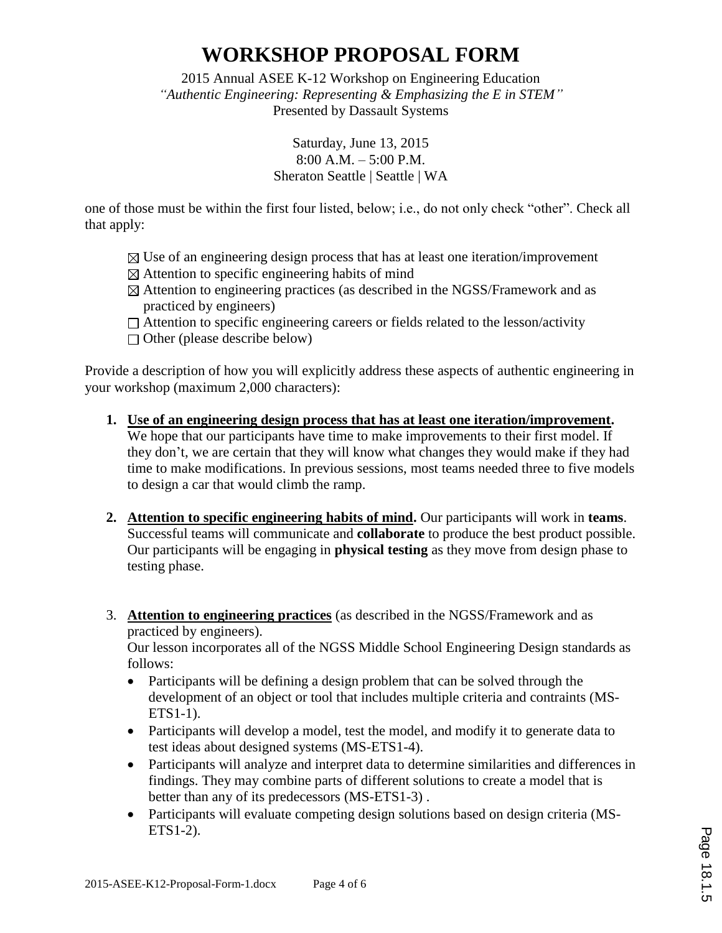2015 Annual ASEE K-12 Workshop on Engineering Education *"Authentic Engineering: Representing & Emphasizing the E in STEM"* Presented by Dassault Systems

> Saturday, June 13, 2015 8:00 A.M. – 5:00 P.M. Sheraton Seattle | Seattle | WA

one of those must be within the first four listed, below; i.e., do not only check "other". Check all that apply:

- $\boxtimes$  Use of an engineering design process that has at least one iteration/improvement
- $\boxtimes$  Attention to specific engineering habits of mind
- $\boxtimes$  Attention to engineering practices (as described in the NGSS/Framework and as practiced by engineers)
- $\Box$  Attention to specific engineering careers or fields related to the lesson/activity
- $\Box$  Other (please describe below)

Provide a description of how you will explicitly address these aspects of authentic engineering in your workshop (maximum 2,000 characters):

- **1. Use of an engineering design process that has at least one iteration/improvement.** We hope that our participants have time to make improvements to their first model. If they don't, we are certain that they will know what changes they would make if they had time to make modifications. In previous sessions, most teams needed three to five models to design a car that would climb the ramp.
- **2. Attention to specific engineering habits of mind.** Our participants will work in **teams**. Successful teams will communicate and **collaborate** to produce the best product possible. Our participants will be engaging in **physical testing** as they move from design phase to testing phase.
- 3. **Attention to engineering practices** (as described in the NGSS/Framework and as practiced by engineers).

Our lesson incorporates all of the NGSS Middle School Engineering Design standards as follows:

- Participants will be defining a design problem that can be solved through the development of an object or tool that includes multiple criteria and contraints (MS-ETS1-1).
- Participants will develop a model, test the model, and modify it to generate data to test ideas about designed systems (MS-ETS1-4).
- Participants will analyze and interpret data to determine similarities and differences in findings. They may combine parts of different solutions to create a model that is better than any of its predecessors (MS-ETS1-3) .
- Participants will evaluate competing design solutions based on design criteria (MS-ETS1-2).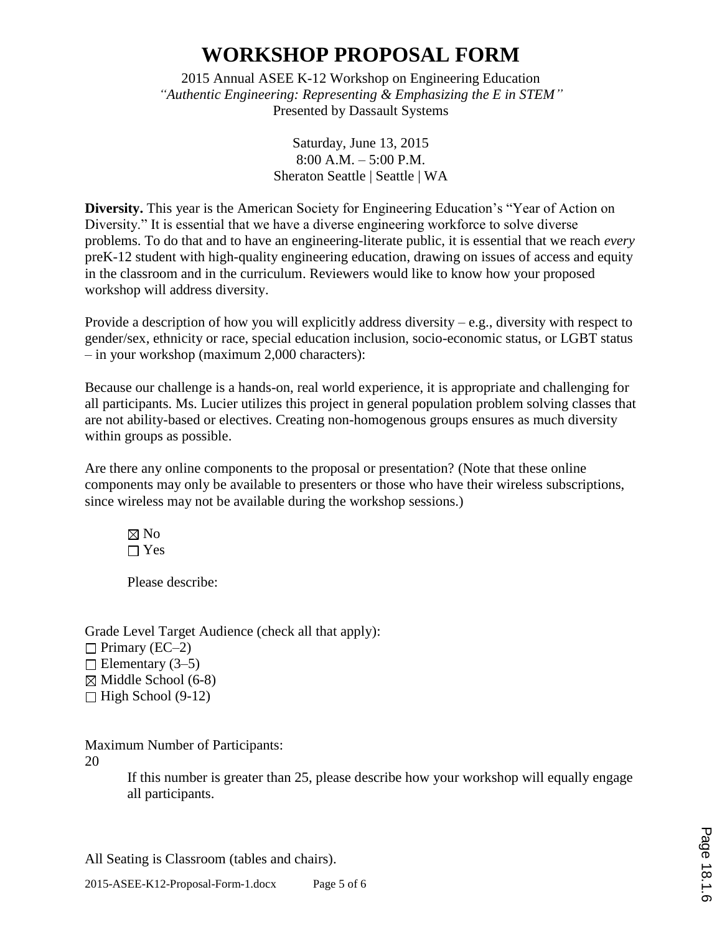2015 Annual ASEE K-12 Workshop on Engineering Education *"Authentic Engineering: Representing & Emphasizing the E in STEM"* Presented by Dassault Systems

> Saturday, June 13, 2015 8:00 A.M. – 5:00 P.M. Sheraton Seattle | Seattle | WA

**Diversity.** This year is the American Society for Engineering Education's "Year of Action on Diversity." It is essential that we have a diverse engineering workforce to solve diverse problems. To do that and to have an engineering-literate public, it is essential that we reach *every* preK-12 student with high-quality engineering education, drawing on issues of access and equity in the classroom and in the curriculum. Reviewers would like to know how your proposed workshop will address diversity.

Provide a description of how you will explicitly address diversity  $-e.g.,$  diversity with respect to gender/sex, ethnicity or race, special education inclusion, socio-economic status, or LGBT status – in your workshop (maximum 2,000 characters):

Because our challenge is a hands-on, real world experience, it is appropriate and challenging for all participants. Ms. Lucier utilizes this project in general population problem solving classes that are not ability-based or electives. Creating non-homogenous groups ensures as much diversity within groups as possible.

Are there any online components to the proposal or presentation? (Note that these online components may only be available to presenters or those who have their wireless subscriptions, since wireless may not be available during the workshop sessions.)

 $\boxtimes$  No  $\Box$  Yes

Please describe:

Grade Level Target Audience (check all that apply):  $\Box$  Primary (EC–2)  $\Box$  Elementary (3–5)  $\boxtimes$  Middle School (6-8)  $\Box$  High School (9-12)

Maximum Number of Participants:

20

If this number is greater than 25, please describe how your workshop will equally engage all participants.

All Seating is Classroom (tables and chairs).